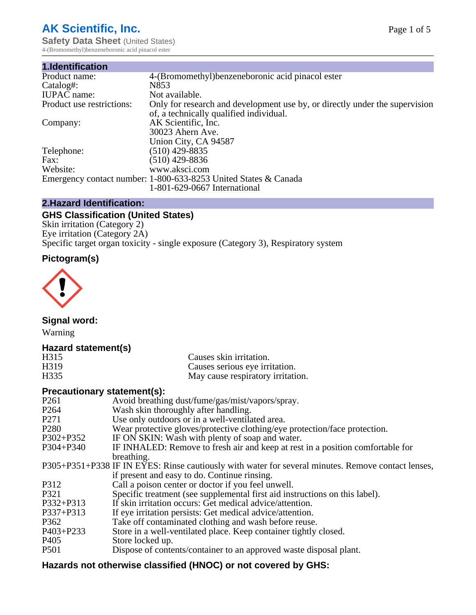# **AK Scientific, Inc.**

**Safety Data Sheet (United States)** 4-(Bromomethyl)benzeneboronic acid pinacol ester

| 1.Identification          |                                                                                                                        |
|---------------------------|------------------------------------------------------------------------------------------------------------------------|
| Product name:             | 4-(Bromomethyl) benzeneboronic acid pinacol ester                                                                      |
| Catalog#:                 | N853                                                                                                                   |
| <b>IUPAC</b> name:        | Not available.                                                                                                         |
| Product use restrictions: | Only for research and development use by, or directly under the supervision<br>of, a technically qualified individual. |
| Company:                  | AK Scientific, Inc.                                                                                                    |
|                           | 30023 Ahern Ave.                                                                                                       |
|                           | Union City, CA 94587                                                                                                   |
| Telephone:                | $(510)$ 429-8835                                                                                                       |
| Fax:                      | (510) 429-8836                                                                                                         |
| Website:                  | www.aksci.com                                                                                                          |
|                           | Emergency contact number: 1-800-633-8253 United States & Canada                                                        |
|                           | 1-801-629-0667 International                                                                                           |

# **2.Hazard Identification:**

# **GHS Classification (United States)**

Skin irritation (Category 2) Eye irritation (Category 2A) Specific target organ toxicity - single exposure (Category 3), Respiratory system

# **Pictogram(s)**



**Signal word:**

Warning

## **Hazard statement(s)**

| H315 | Causes skin irritation.           |
|------|-----------------------------------|
| H319 | Causes serious eye irritation.    |
| H335 | May cause respiratory irritation. |

## **Precautionary statement(s):**

| P <sub>261</sub> | Avoid breathing dust/fume/gas/mist/vapors/spray.                                                   |
|------------------|----------------------------------------------------------------------------------------------------|
| P <sub>264</sub> | Wash skin thoroughly after handling.                                                               |
| P <sub>271</sub> | Use only outdoors or in a well-ventilated area.                                                    |
| P <sub>280</sub> | Wear protective gloves/protective clothing/eye protection/face protection.                         |
| P302+P352        | IF ON SKIN: Wash with plenty of soap and water.                                                    |
| $P304 + P340$    | IF INHALED: Remove to fresh air and keep at rest in a position comfortable for                     |
|                  | breathing.                                                                                         |
|                  | P305+P351+P338 IF IN EYES: Rinse cautiously with water for several minutes. Remove contact lenses, |
|                  | if present and easy to do. Continue rinsing.                                                       |
| P312             | Call a poison center or doctor if you feel unwell.                                                 |
| P321             | Specific treatment (see supplemental first aid instructions on this label).                        |
| P332+P313        | If skin irritation occurs: Get medical advice/attention.                                           |
| P337+P313        | If eye irritation persists: Get medical advice/attention.                                          |
| P362             | Take off contaminated clothing and wash before reuse.                                              |
| P403+P233        | Store in a well-ventilated place. Keep container tightly closed.                                   |
| P <sub>405</sub> | Store locked up.                                                                                   |
| P <sub>501</sub> | Dispose of contents/container to an approved waste disposal plant.                                 |
|                  |                                                                                                    |

# **Hazards not otherwise classified (HNOC) or not covered by GHS:**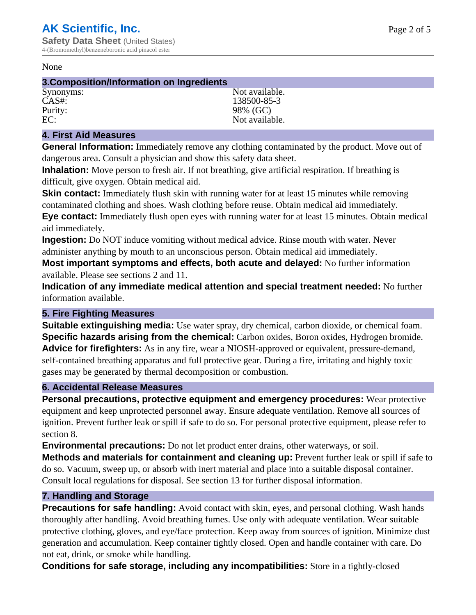#### None

#### **3.Composition/Information on Ingredients**

Purity: 98% (GC)<br>EC: Not availal

Synonyms: Not available. CAS#: 138500-85-3 Not available.

## **4. First Aid Measures**

**General Information:** Immediately remove any clothing contaminated by the product. Move out of dangerous area. Consult a physician and show this safety data sheet.

**Inhalation:** Move person to fresh air. If not breathing, give artificial respiration. If breathing is difficult, give oxygen. Obtain medical aid.

**Skin contact:** Immediately flush skin with running water for at least 15 minutes while removing contaminated clothing and shoes. Wash clothing before reuse. Obtain medical aid immediately. **Eye contact:** Immediately flush open eyes with running water for at least 15 minutes. Obtain medical aid immediately.

**Ingestion:** Do NOT induce vomiting without medical advice. Rinse mouth with water. Never administer anything by mouth to an unconscious person. Obtain medical aid immediately.

**Most important symptoms and effects, both acute and delayed:** No further information available. Please see sections 2 and 11.

**Indication of any immediate medical attention and special treatment needed:** No further information available.

## **5. Fire Fighting Measures**

**Suitable extinguishing media:** Use water spray, dry chemical, carbon dioxide, or chemical foam. **Specific hazards arising from the chemical:** Carbon oxides, Boron oxides, Hydrogen bromide. **Advice for firefighters:** As in any fire, wear a NIOSH-approved or equivalent, pressure-demand, self-contained breathing apparatus and full protective gear. During a fire, irritating and highly toxic gases may be generated by thermal decomposition or combustion.

## **6. Accidental Release Measures**

**Personal precautions, protective equipment and emergency procedures:** Wear protective equipment and keep unprotected personnel away. Ensure adequate ventilation. Remove all sources of ignition. Prevent further leak or spill if safe to do so. For personal protective equipment, please refer to section 8.

**Environmental precautions:** Do not let product enter drains, other waterways, or soil.

**Methods and materials for containment and cleaning up:** Prevent further leak or spill if safe to do so. Vacuum, sweep up, or absorb with inert material and place into a suitable disposal container. Consult local regulations for disposal. See section 13 for further disposal information.

## **7. Handling and Storage**

**Precautions for safe handling:** Avoid contact with skin, eyes, and personal clothing. Wash hands thoroughly after handling. Avoid breathing fumes. Use only with adequate ventilation. Wear suitable protective clothing, gloves, and eye/face protection. Keep away from sources of ignition. Minimize dust generation and accumulation. Keep container tightly closed. Open and handle container with care. Do not eat, drink, or smoke while handling.

**Conditions for safe storage, including any incompatibilities:** Store in a tightly-closed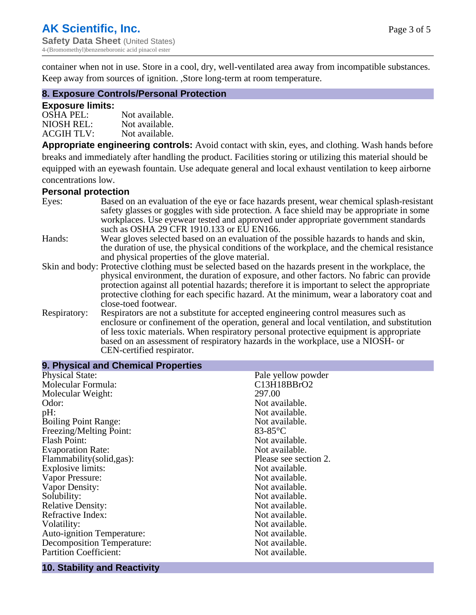container when not in use. Store in a cool, dry, well-ventilated area away from incompatible substances. Keep away from sources of ignition. ,Store long-term at room temperature.

### **8. Exposure Controls/Personal Protection**

#### **Exposure limits:**

| $OSHA$ PEL:       | Not available. |
|-------------------|----------------|
| NIOSH REL:        | Not available. |
| <b>ACGIH TLV:</b> | Not available. |

**Appropriate engineering controls:** Avoid contact with skin, eyes, and clothing. Wash hands before breaks and immediately after handling the product. Facilities storing or utilizing this material should be equipped with an eyewash fountain. Use adequate general and local exhaust ventilation to keep airborne concentrations low.

#### **Personal protection**

| Eyes:        | Based on an evaluation of the eye or face hazards present, wear chemical splash-resistant<br>safety glasses or goggles with side protection. A face shield may be appropriate in some |
|--------------|---------------------------------------------------------------------------------------------------------------------------------------------------------------------------------------|
|              | workplaces. Use eyewear tested and approved under appropriate government standards<br>such as OSHA 29 CFR 1910.133 or EU EN166.                                                       |
| Hands:       | Wear gloves selected based on an evaluation of the possible hazards to hands and skin,                                                                                                |
|              | the duration of use, the physical conditions of the workplace, and the chemical resistance                                                                                            |
|              | and physical properties of the glove material.                                                                                                                                        |
|              | Skin and body: Protective clothing must be selected based on the hazards present in the workplace, the                                                                                |
|              | physical environment, the duration of exposure, and other factors. No fabric can provide                                                                                              |
|              | protection against all potential hazards; therefore it is important to select the appropriate                                                                                         |
|              | protective clothing for each specific hazard. At the minimum, wear a laboratory coat and                                                                                              |
|              | close-toed footwear.                                                                                                                                                                  |
| Respiratory: | Respirators are not a substitute for accepted engineering control measures such as<br>enclosure or confinement of the operation, general and local ventilation, and substitution      |
|              | of less toxic materials. When respiratory personal protective equipment is appropriate                                                                                                |
|              | based on an assessment of respiratory hazards in the workplace, use a NIOSH- or                                                                                                       |
|              | CEN-certified respirator.                                                                                                                                                             |

# **10. Stability and Reactivity**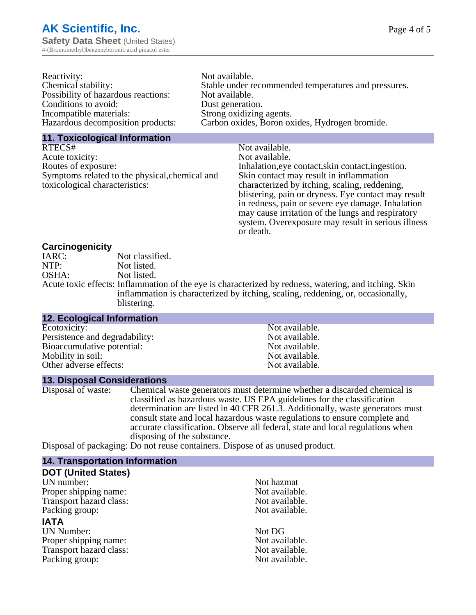| Reactivity:                         | Not available.                                       |
|-------------------------------------|------------------------------------------------------|
| Chemical stability:                 | Stable under recommended temperatures and pressures. |
| Possibility of hazardous reactions: | Not available.                                       |
| Conditions to avoid:                | Dust generation.                                     |
| Incompatible materials:             | Strong oxidizing agents.                             |
| Hazardous decomposition products:   | Carbon oxides, Boron oxides, Hydrogen bromide.       |
|                                     |                                                      |

#### **11. Toxicological Information**

| RTECS#                                         | Not available.                                      |
|------------------------------------------------|-----------------------------------------------------|
| Acute toxicity:                                | Not available.                                      |
| Routes of exposure:                            | Inhalation, eye contact, skin contact, ingestion.   |
| Symptoms related to the physical, chemical and | Skin contact may result in inflammation             |
| toxicological characteristics:                 | characterized by itching, scaling, reddening,       |
|                                                | blistering, pain or dryness. Eye contact may result |
|                                                | in redness, pain or severe eye damage. Inhalation   |
|                                                | may cause irritation of the lungs and respiratory   |
|                                                | system. Overexposure may result in serious illness  |

or death.

#### **Carcinogenicity**

| IARC: | Not classified.                                                                                       |
|-------|-------------------------------------------------------------------------------------------------------|
| NTP:  | Not listed.                                                                                           |
| OSHA: | Not listed.                                                                                           |
|       | Acute toxic effects: Inflammation of the eye is characterized by redness, watering, and itching. Skin |
|       | inflammation is characterized by itching, scaling, reddening, or, occasionally,                       |
|       | blistering.                                                                                           |

| <b>12. Ecological Information</b> |                |
|-----------------------------------|----------------|
| Ecotoxicity:                      | Not available. |
| Persistence and degradability:    | Not available. |
| Bioaccumulative potential:        | Not available. |
| Mobility in soil:                 | Not available. |
| Other adverse effects:            | Not available. |

#### **13. Disposal Considerations**

Disposal of waste: Chemical waste generators must determine whether a discarded chemical is classified as hazardous waste. US EPA guidelines for the classification determination are listed in 40 CFR 261.3. Additionally, waste generators must consult state and local hazardous waste regulations to ensure complete and accurate classification. Observe all federal, state and local regulations when disposing of the substance.

Disposal of packaging: Do not reuse containers. Dispose of as unused product.

| <b>14. Transportation Information</b> |                |
|---------------------------------------|----------------|
| <b>DOT (United States)</b>            |                |
| UN number:                            | Not hazmat     |
| Proper shipping name:                 | Not available. |
| Transport hazard class:               | Not available. |
| Packing group:                        | Not available. |
| <b>IATA</b>                           |                |
| <b>UN Number:</b>                     | Not DG         |
| Proper shipping name:                 | Not available. |
| Transport hazard class:               | Not available. |
| Packing group:                        | Not available. |